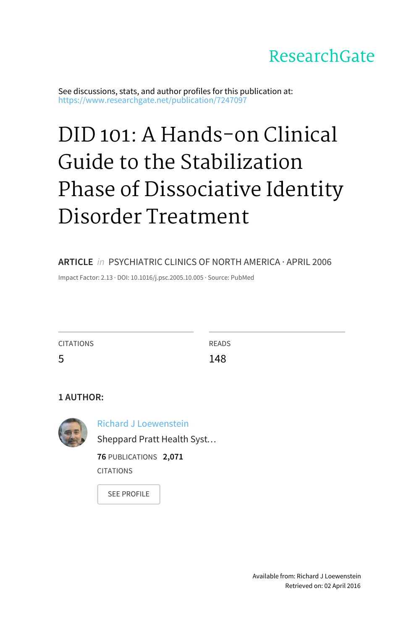# ResearchGate

See discussions, stats, and author profiles for this publication at: [https://www.researchgate.net/publication/7247097](https://www.researchgate.net/publication/7247097_DID_101_A_Hands-on_Clinical_Guide_to_the_Stabilization_Phase_of_Dissociative_Identity_Disorder_Treatment?enrichId=rgreq-73d025dd-a934-4b06-a278-612f2a3763d5&enrichSource=Y292ZXJQYWdlOzcyNDcwOTc7QVM6MTAzNzg4NTU1ODAwNTg2QDE0MDE3NTY1Mjg2MTI%3D&el=1_x_2)

# DID 101: A Hands-on Clinical Guide to the [Stabilization](https://www.researchgate.net/publication/7247097_DID_101_A_Hands-on_Clinical_Guide_to_the_Stabilization_Phase_of_Dissociative_Identity_Disorder_Treatment?enrichId=rgreq-73d025dd-a934-4b06-a278-612f2a3763d5&enrichSource=Y292ZXJQYWdlOzcyNDcwOTc7QVM6MTAzNzg4NTU1ODAwNTg2QDE0MDE3NTY1Mjg2MTI%3D&el=1_x_3) Phase of Dissociative Identity Disorder Treatment

## **ARTICLE** in PSYCHIATRIC CLINICS OF NORTH AMERICA · APRIL 2006

Impact Factor: 2.13 · DOI: 10.1016/j.psc.2005.10.005 · Source: PubMed

| CITATIONS | <b>READS</b> |
|-----------|--------------|
| 片<br>ٮ    | 148          |

### **1 AUTHOR:**



Richard J [Loewenstein](https://www.researchgate.net/profile/Richard_Loewenstein?enrichId=rgreq-73d025dd-a934-4b06-a278-612f2a3763d5&enrichSource=Y292ZXJQYWdlOzcyNDcwOTc7QVM6MTAzNzg4NTU1ODAwNTg2QDE0MDE3NTY1Mjg2MTI%3D&el=1_x_5)

Sheppard Pratt Health Syst…

**76** PUBLICATIONS **2,071** CITATIONS

SEE [PROFILE](https://www.researchgate.net/profile/Richard_Loewenstein?enrichId=rgreq-73d025dd-a934-4b06-a278-612f2a3763d5&enrichSource=Y292ZXJQYWdlOzcyNDcwOTc7QVM6MTAzNzg4NTU1ODAwNTg2QDE0MDE3NTY1Mjg2MTI%3D&el=1_x_7)

Available from: Richard J Loewenstein Retrieved on: 02 April 2016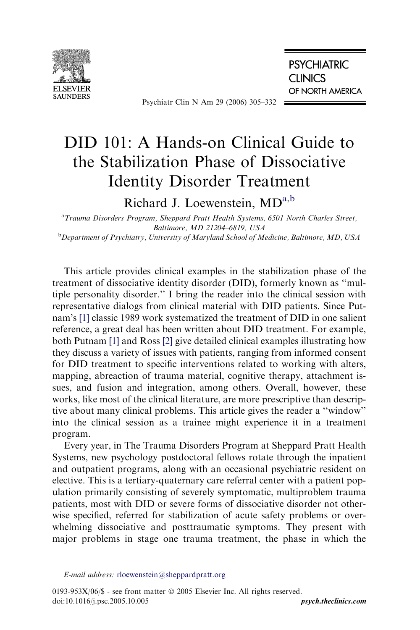

Psychiatr Clin N Am 29 (2006) 305–332

## DID 101: A Hands-on Clinical Guide to the Stabilization Phase of Dissociative Identity Disorder Treatment

Richard J. Loewenstein, MDa,b

<sup>a</sup>Trauma Disorders Program, Sheppard Pratt Health Systems, 6501 North Charles Street, Baltimore, MD 21204–6819, USA <sup>b</sup>Department of Psychiatry, University of Maryland School of Medicine, Baltimore, MD, USA

This article provides clinical examples in the stabilization phase of the treatment of dissociative identity disorder (DID), formerly known as ''multiple personality disorder.'' I bring the reader into the clinical session with representative dialogs from clinical material with DID patients. Since Putnam's [1] classic 1989 work systematized the treatment of DID in one salient reference, a great deal has been written about DID treatment. For example, both Putnam [1] and Ross [2] give detailed clinical examples illustrating how they discuss a variety of issues with patients, ranging from informed consent for DID treatment to specific interventions related to working with alters, mapping, abreaction of trauma material, cognitive therapy, attachment issues, and fusion and integration, among others. Overall, however, these works, like most of the clinical literature, are more prescriptive than descriptive about many clinical problems. This article gives the reader a ''window'' into the clinical session as a trainee might experience it in a treatment program.

Every year, in The Trauma Disorders Program at Sheppard Pratt Health Systems, new psychology postdoctoral fellows rotate through the inpatient and outpatient programs, along with an occasional psychiatric resident on elective. This is a tertiary-quaternary care referral center with a patient population primarily consisting of severely symptomatic, multiproblem trauma patients, most with DID or severe forms of dissociative disorder not otherwise specified, referred for stabilization of acute safety problems or overwhelming dissociative and posttraumatic symptoms. They present with major problems in stage one trauma treatment, the phase in which the

E-mail address: [rloewenstein@sheppardpratt.org](mailto:rloewenstein@sheppardpratt.org)

<sup>0193-953</sup>X/06/\$ - see front matter  $\odot$  2005 Elsevier Inc. All rights reserved. doi:10.1016/j.psc.2005.10.005 psych.theclinics.com psych.theclinics.com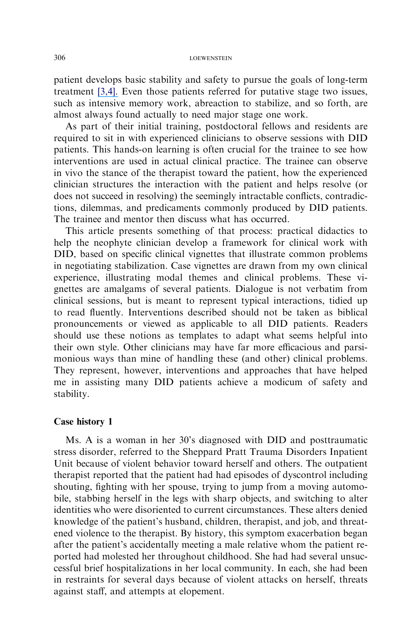patient develops basic stability and safety to pursue the goals of long-term treatment [\[3,4\].](https://www.researchgate.net/publication/232438745_Memory_Trauma_Treatment_and_the_Law?el=1_x_8&enrichId=rgreq-73d025dd-a934-4b06-a278-612f2a3763d5&enrichSource=Y292ZXJQYWdlOzcyNDcwOTc7QVM6MTAzNzg4NTU1ODAwNTg2QDE0MDE3NTY1Mjg2MTI=) Even those patients referred for putative stage two issues, such as intensive memory work, abreaction to stabilize, and so forth, are almost always found actually to need major stage one work.

As part of their initial training, postdoctoral fellows and residents are required to sit in with experienced clinicians to observe sessions with DID patients. This hands-on learning is often crucial for the trainee to see how interventions are used in actual clinical practice. The trainee can observe in vivo the stance of the therapist toward the patient, how the experienced clinician structures the interaction with the patient and helps resolve (or does not succeed in resolving) the seemingly intractable conflicts, contradictions, dilemmas, and predicaments commonly produced by DID patients. The trainee and mentor then discuss what has occurred.

This article presents something of that process: practical didactics to help the neophyte clinician develop a framework for clinical work with DID, based on specific clinical vignettes that illustrate common problems in negotiating stabilization. Case vignettes are drawn from my own clinical experience, illustrating modal themes and clinical problems. These vignettes are amalgams of several patients. Dialogue is not verbatim from clinical sessions, but is meant to represent typical interactions, tidied up to read fluently. Interventions described should not be taken as biblical pronouncements or viewed as applicable to all DID patients. Readers should use these notions as templates to adapt what seems helpful into their own style. Other clinicians may have far more efficacious and parsimonious ways than mine of handling these (and other) clinical problems. They represent, however, interventions and approaches that have helped me in assisting many DID patients achieve a modicum of safety and stability.

#### Case history 1

Ms. A is a woman in her 30's diagnosed with DID and posttraumatic stress disorder, referred to the Sheppard Pratt Trauma Disorders Inpatient Unit because of violent behavior toward herself and others. The outpatient therapist reported that the patient had had episodes of dyscontrol including shouting, fighting with her spouse, trying to jump from a moving automobile, stabbing herself in the legs with sharp objects, and switching to alter identities who were disoriented to current circumstances. These alters denied knowledge of the patient's husband, children, therapist, and job, and threatened violence to the therapist. By history, this symptom exacerbation began after the patient's accidentally meeting a male relative whom the patient reported had molested her throughout childhood. She had had several unsuccessful brief hospitalizations in her local community. In each, she had been in restraints for several days because of violent attacks on herself, threats against staff, and attempts at elopement.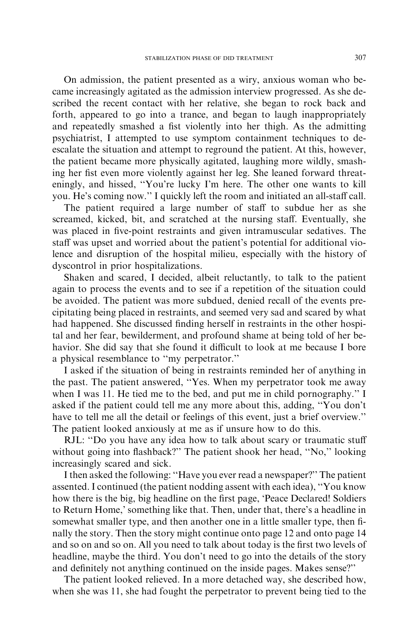On admission, the patient presented as a wiry, anxious woman who became increasingly agitated as the admission interview progressed. As she described the recent contact with her relative, she began to rock back and forth, appeared to go into a trance, and began to laugh inappropriately and repeatedly smashed a fist violently into her thigh. As the admitting psychiatrist, I attempted to use symptom containment techniques to deescalate the situation and attempt to reground the patient. At this, however, the patient became more physically agitated, laughing more wildly, smashing her fist even more violently against her leg. She leaned forward threateningly, and hissed, ''You're lucky I'm here. The other one wants to kill you. He's coming now.'' I quickly left the room and initiated an all-staff call.

The patient required a large number of staff to subdue her as she screamed, kicked, bit, and scratched at the nursing staff. Eventually, she was placed in five-point restraints and given intramuscular sedatives. The staff was upset and worried about the patient's potential for additional violence and disruption of the hospital milieu, especially with the history of dyscontrol in prior hospitalizations.

Shaken and scared, I decided, albeit reluctantly, to talk to the patient again to process the events and to see if a repetition of the situation could be avoided. The patient was more subdued, denied recall of the events precipitating being placed in restraints, and seemed very sad and scared by what had happened. She discussed finding herself in restraints in the other hospital and her fear, bewilderment, and profound shame at being told of her behavior. She did say that she found it difficult to look at me because I bore a physical resemblance to ''my perpetrator.''

I asked if the situation of being in restraints reminded her of anything in the past. The patient answered, ''Yes. When my perpetrator took me away when I was 11. He tied me to the bed, and put me in child pornography.'' I asked if the patient could tell me any more about this, adding, ''You don't have to tell me all the detail or feelings of this event, just a brief overview.'' The patient looked anxiously at me as if unsure how to do this.

RJL: ''Do you have any idea how to talk about scary or traumatic stuff without going into flashback?" The patient shook her head, "No," looking increasingly scared and sick.

I then asked the following: ''Have you ever read a newspaper?'' The patient assented. I continued (the patient nodding assent with each idea), ''You know how there is the big, big headline on the first page, 'Peace Declared! Soldiers to Return Home,' something like that. Then, under that, there's a headline in somewhat smaller type, and then another one in a little smaller type, then finally the story. Then the story might continue onto page 12 and onto page 14 and so on and so on. All you need to talk about today is the first two levels of headline, maybe the third. You don't need to go into the details of the story and definitely not anything continued on the inside pages. Makes sense?''

The patient looked relieved. In a more detached way, she described how, when she was 11, she had fought the perpetrator to prevent being tied to the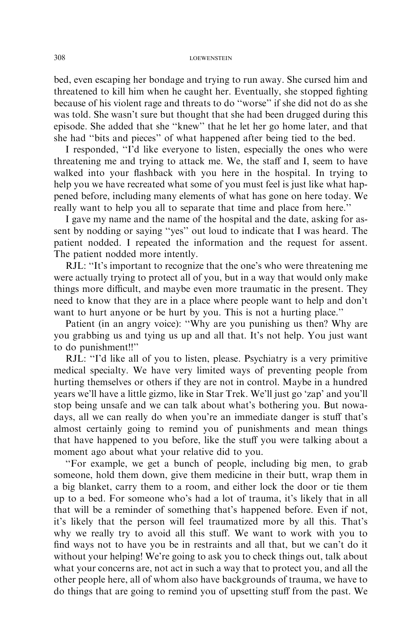#### 308 LOEWENSTEIN

bed, even escaping her bondage and trying to run away. She cursed him and threatened to kill him when he caught her. Eventually, she stopped fighting because of his violent rage and threats to do ''worse'' if she did not do as she was told. She wasn't sure but thought that she had been drugged during this episode. She added that she ''knew'' that he let her go home later, and that she had ''bits and pieces'' of what happened after being tied to the bed.

I responded, ''I'd like everyone to listen, especially the ones who were threatening me and trying to attack me. We, the staff and I, seem to have walked into your flashback with you here in the hospital. In trying to help you we have recreated what some of you must feel is just like what happened before, including many elements of what has gone on here today. We really want to help you all to separate that time and place from here.''

I gave my name and the name of the hospital and the date, asking for assent by nodding or saying ''yes'' out loud to indicate that I was heard. The patient nodded. I repeated the information and the request for assent. The patient nodded more intently.

RJL: ''It's important to recognize that the one's who were threatening me were actually trying to protect all of you, but in a way that would only make things more difficult, and maybe even more traumatic in the present. They need to know that they are in a place where people want to help and don't want to hurt anyone or be hurt by you. This is not a hurting place.''

Patient (in an angry voice): ''Why are you punishing us then? Why are you grabbing us and tying us up and all that. It's not help. You just want to do punishment!!''

RJL: ''I'd like all of you to listen, please. Psychiatry is a very primitive medical specialty. We have very limited ways of preventing people from hurting themselves or others if they are not in control. Maybe in a hundred years we'll have a little gizmo, like in Star Trek. We'll just go 'zap' and you'll stop being unsafe and we can talk about what's bothering you. But nowadays, all we can really do when you're an immediate danger is stuff that's almost certainly going to remind you of punishments and mean things that have happened to you before, like the stuff you were talking about a moment ago about what your relative did to you.

''For example, we get a bunch of people, including big men, to grab someone, hold them down, give them medicine in their butt, wrap them in a big blanket, carry them to a room, and either lock the door or tie them up to a bed. For someone who's had a lot of trauma, it's likely that in all that will be a reminder of something that's happened before. Even if not, it's likely that the person will feel traumatized more by all this. That's why we really try to avoid all this stuff. We want to work with you to find ways not to have you be in restraints and all that, but we can't do it without your helping! We're going to ask you to check things out, talk about what your concerns are, not act in such a way that to protect you, and all the other people here, all of whom also have backgrounds of trauma, we have to do things that are going to remind you of upsetting stuff from the past. We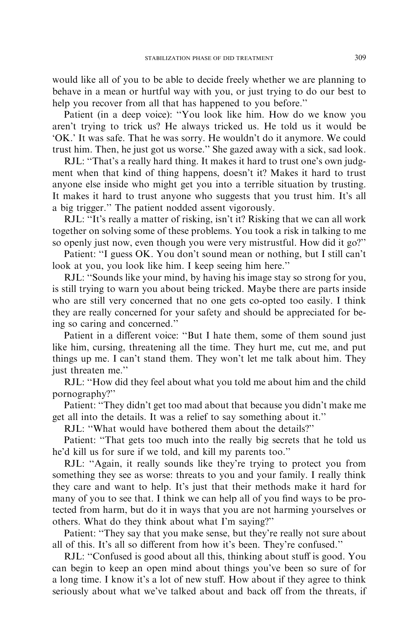would like all of you to be able to decide freely whether we are planning to behave in a mean or hurtful way with you, or just trying to do our best to help you recover from all that has happened to you before.''

Patient (in a deep voice): ''You look like him. How do we know you aren't trying to trick us? He always tricked us. He told us it would be 'OK.' It was safe. That he was sorry. He wouldn't do it anymore. We could trust him. Then, he just got us worse.'' She gazed away with a sick, sad look.

RJL: ''That's a really hard thing. It makes it hard to trust one's own judgment when that kind of thing happens, doesn't it? Makes it hard to trust anyone else inside who might get you into a terrible situation by trusting. It makes it hard to trust anyone who suggests that you trust him. It's all a big trigger.'' The patient nodded assent vigorously.

RJL: ''It's really a matter of risking, isn't it? Risking that we can all work together on solving some of these problems. You took a risk in talking to me so openly just now, even though you were very mistrustful. How did it go?''

Patient: ''I guess OK. You don't sound mean or nothing, but I still can't look at you, you look like him. I keep seeing him here.''

RJL: ''Sounds like your mind, by having his image stay so strong for you, is still trying to warn you about being tricked. Maybe there are parts inside who are still very concerned that no one gets co-opted too easily. I think they are really concerned for your safety and should be appreciated for being so caring and concerned.''

Patient in a different voice: ''But I hate them, some of them sound just like him, cursing, threatening all the time. They hurt me, cut me, and put things up me. I can't stand them. They won't let me talk about him. They just threaten me.''

RJL: ''How did they feel about what you told me about him and the child pornography?''

Patient: ''They didn't get too mad about that because you didn't make me get all into the details. It was a relief to say something about it.''

RJL: ''What would have bothered them about the details?''

Patient: ''That gets too much into the really big secrets that he told us he'd kill us for sure if we told, and kill my parents too.''

RJL: ''Again, it really sounds like they're trying to protect you from something they see as worse: threats to you and your family. I really think they care and want to help. It's just that their methods make it hard for many of you to see that. I think we can help all of you find ways to be protected from harm, but do it in ways that you are not harming yourselves or others. What do they think about what I'm saying?''

Patient: "They say that you make sense, but they're really not sure about all of this. It's all so different from how it's been. They're confused.''

RJL: ''Confused is good about all this, thinking about stuff is good. You can begin to keep an open mind about things you've been so sure of for a long time. I know it's a lot of new stuff. How about if they agree to think seriously about what we've talked about and back off from the threats, if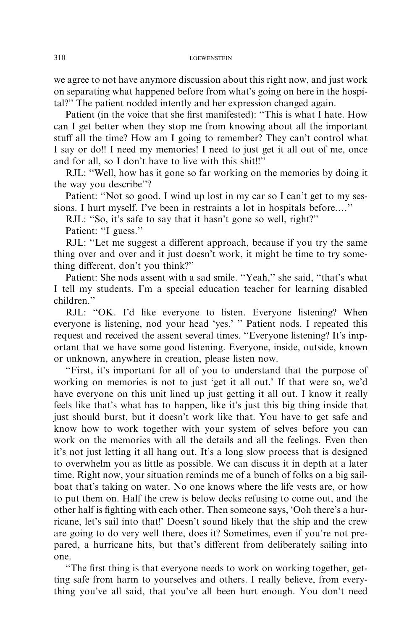we agree to not have anymore discussion about this right now, and just work on separating what happened before from what's going on here in the hospital?'' The patient nodded intently and her expression changed again.

Patient (in the voice that she first manifested): ''This is what I hate. How can I get better when they stop me from knowing about all the important stuff all the time? How am I going to remember? They can't control what I say or do!! I need my memories! I need to just get it all out of me, once and for all, so I don't have to live with this shit!!''

RJL: ''Well, how has it gone so far working on the memories by doing it the way you describe''?

Patient: "Not so good. I wind up lost in my car so I can't get to my sessions. I hurt myself. I've been in restraints a lot in hospitals before...."

RJL: "So, it's safe to say that it hasn't gone so well, right?"

Patient: "I guess."

RJL: ''Let me suggest a different approach, because if you try the same thing over and over and it just doesn't work, it might be time to try something different, don't you think?''

Patient: She nods assent with a sad smile. "Yeah," she said, "that's what I tell my students. I'm a special education teacher for learning disabled children.''

RJL: "OK. I'd like everyone to listen. Everyone listening? When everyone is listening, nod your head 'yes.' '' Patient nods. I repeated this request and received the assent several times. ''Everyone listening? It's important that we have some good listening. Everyone, inside, outside, known or unknown, anywhere in creation, please listen now.

''First, it's important for all of you to understand that the purpose of working on memories is not to just 'get it all out.' If that were so, we'd have everyone on this unit lined up just getting it all out. I know it really feels like that's what has to happen, like it's just this big thing inside that just should burst, but it doesn't work like that. You have to get safe and know how to work together with your system of selves before you can work on the memories with all the details and all the feelings. Even then it's not just letting it all hang out. It's a long slow process that is designed to overwhelm you as little as possible. We can discuss it in depth at a later time. Right now, your situation reminds me of a bunch of folks on a big sailboat that's taking on water. No one knows where the life vests are, or how to put them on. Half the crew is below decks refusing to come out, and the other half is fighting with each other. Then someone says, 'Ooh there's a hurricane, let's sail into that!' Doesn't sound likely that the ship and the crew are going to do very well there, does it? Sometimes, even if you're not prepared, a hurricane hits, but that's different from deliberately sailing into one.

''The first thing is that everyone needs to work on working together, getting safe from harm to yourselves and others. I really believe, from everything you've all said, that you've all been hurt enough. You don't need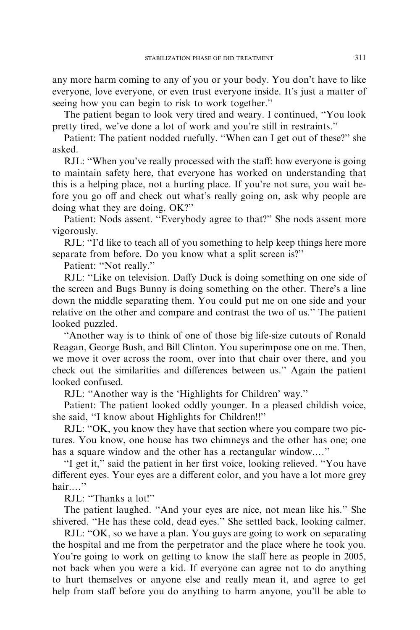any more harm coming to any of you or your body. You don't have to like everyone, love everyone, or even trust everyone inside. It's just a matter of seeing how you can begin to risk to work together.''

The patient began to look very tired and weary. I continued, ''You look pretty tired, we've done a lot of work and you're still in restraints.''

Patient: The patient nodded ruefully. ''When can I get out of these?'' she asked.

RJL: ''When you've really processed with the staff: how everyone is going to maintain safety here, that everyone has worked on understanding that this is a helping place, not a hurting place. If you're not sure, you wait before you go off and check out what's really going on, ask why people are doing what they are doing, OK?''

Patient: Nods assent. ''Everybody agree to that?'' She nods assent more vigorously.

RJL: "I'd like to teach all of you something to help keep things here more separate from before. Do you know what a split screen is?''

Patient: "Not really."

RJL: ''Like on television. Daffy Duck is doing something on one side of the screen and Bugs Bunny is doing something on the other. There's a line down the middle separating them. You could put me on one side and your relative on the other and compare and contrast the two of us.'' The patient looked puzzled.

''Another way is to think of one of those big life-size cutouts of Ronald Reagan, George Bush, and Bill Clinton. You superimpose one on me. Then, we move it over across the room, over into that chair over there, and you check out the similarities and differences between us.'' Again the patient looked confused.

RJL: ''Another way is the 'Highlights for Children' way.''

Patient: The patient looked oddly younger. In a pleased childish voice, she said, ''I know about Highlights for Children!!''

RJL: "OK, you know they have that section where you compare two pictures. You know, one house has two chimneys and the other has one; one has a square window and the other has a rectangular window...."

''I get it,'' said the patient in her first voice, looking relieved. ''You have different eyes. Your eyes are a different color, and you have a lot more grey hair...."

RJL: ''Thanks a lot!''

The patient laughed. ''And your eyes are nice, not mean like his.'' She shivered. ''He has these cold, dead eyes.'' She settled back, looking calmer.

RJL: ''OK, so we have a plan. You guys are going to work on separating the hospital and me from the perpetrator and the place where he took you. You're going to work on getting to know the staff here as people in 2005, not back when you were a kid. If everyone can agree not to do anything to hurt themselves or anyone else and really mean it, and agree to get help from staff before you do anything to harm anyone, you'll be able to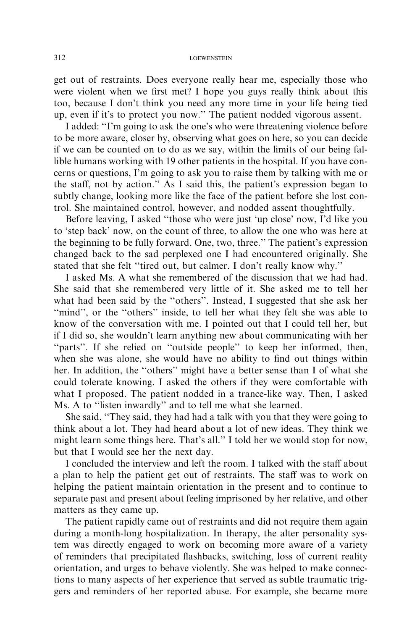get out of restraints. Does everyone really hear me, especially those who were violent when we first met? I hope you guys really think about this too, because I don't think you need any more time in your life being tied up, even if it's to protect you now.'' The patient nodded vigorous assent.

I added: ''I'm going to ask the one's who were threatening violence before to be more aware, closer by, observing what goes on here, so you can decide if we can be counted on to do as we say, within the limits of our being fallible humans working with 19 other patients in the hospital. If you have concerns or questions, I'm going to ask you to raise them by talking with me or the staff, not by action.'' As I said this, the patient's expression began to subtly change, looking more like the face of the patient before she lost control. She maintained control, however, and nodded assent thoughtfully.

Before leaving, I asked ''those who were just 'up close' now, I'd like you to 'step back' now, on the count of three, to allow the one who was here at the beginning to be fully forward. One, two, three.'' The patient's expression changed back to the sad perplexed one I had encountered originally. She stated that she felt ''tired out, but calmer. I don't really know why.''

I asked Ms. A what she remembered of the discussion that we had had. She said that she remembered very little of it. She asked me to tell her what had been said by the ''others''. Instead, I suggested that she ask her "mind", or the "others" inside, to tell her what they felt she was able to know of the conversation with me. I pointed out that I could tell her, but if I did so, she wouldn't learn anything new about communicating with her "parts". If she relied on "outside people" to keep her informed, then, when she was alone, she would have no ability to find out things within her. In addition, the ''others'' might have a better sense than I of what she could tolerate knowing. I asked the others if they were comfortable with what I proposed. The patient nodded in a trance-like way. Then, I asked Ms. A to ''listen inwardly'' and to tell me what she learned.

She said, ''They said, they had had a talk with you that they were going to think about a lot. They had heard about a lot of new ideas. They think we might learn some things here. That's all.'' I told her we would stop for now, but that I would see her the next day.

I concluded the interview and left the room. I talked with the staff about a plan to help the patient get out of restraints. The staff was to work on helping the patient maintain orientation in the present and to continue to separate past and present about feeling imprisoned by her relative, and other matters as they came up.

The patient rapidly came out of restraints and did not require them again during a month-long hospitalization. In therapy, the alter personality system was directly engaged to work on becoming more aware of a variety of reminders that precipitated flashbacks, switching, loss of current reality orientation, and urges to behave violently. She was helped to make connections to many aspects of her experience that served as subtle traumatic triggers and reminders of her reported abuse. For example, she became more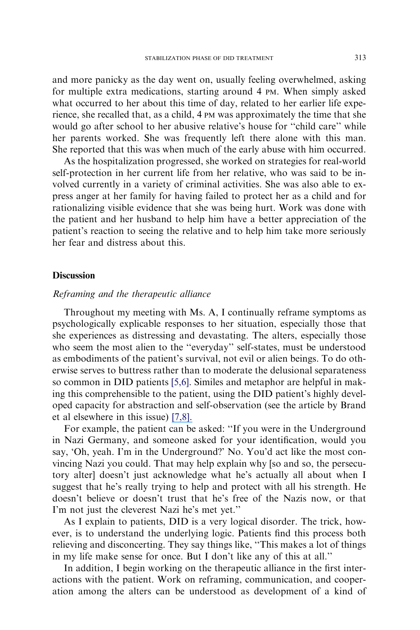and more panicky as the day went on, usually feeling overwhelmed, asking for multiple extra medications, starting around 4 PM. When simply asked what occurred to her about this time of day, related to her earlier life experience, she recalled that, as a child, 4 PM was approximately the time that she would go after school to her abusive relative's house for ''child care'' while her parents worked. She was frequently left there alone with this man. She reported that this was when much of the early abuse with him occurred.

As the hospitalization progressed, she worked on strategies for real-world self-protection in her current life from her relative, who was said to be involved currently in a variety of criminal activities. She was also able to express anger at her family for having failed to protect her as a child and for rationalizing visible evidence that she was being hurt. Work was done with the patient and her husband to help him have a better appreciation of the patient's reaction to seeing the relative and to help him take more seriously her fear and distress about this.

#### **Discussion**

#### Reframing and the therapeutic alliance

Throughout my meeting with Ms. A, I continually reframe symptoms as psychologically explicable responses to her situation, especially those that she experiences as distressing and devastating. The alters, especially those who seem the most alien to the ''everyday'' self-states, must be understood as embodiments of the patient's survival, not evil or alien beings. To do otherwise serves to buttress rather than to moderate the delusional separateness so common in DID patients [5,6]. Similes and metaphor are helpful in making this comprehensible to the patient, using the DID patient's highly developed capacity for abstraction and self-observation (see the article by Brand et al elsewhere in this issue) [\[7,8\].](https://www.researchgate.net/publication/20961193_Characteristics_of_Patients_with_Multiple_Personality_and_Dissociative_Disorders_on_Psychological_Testing?el=1_x_8&enrichId=rgreq-73d025dd-a934-4b06-a278-612f2a3763d5&enrichSource=Y292ZXJQYWdlOzcyNDcwOTc7QVM6MTAzNzg4NTU1ODAwNTg2QDE0MDE3NTY1Mjg2MTI=)

For example, the patient can be asked: ''If you were in the Underground in Nazi Germany, and someone asked for your identification, would you say, 'Oh, yeah. I'm in the Underground?' No. You'd act like the most convincing Nazi you could. That may help explain why [so and so, the persecutory alter] doesn't just acknowledge what he's actually all about when I suggest that he's really trying to help and protect with all his strength. He doesn't believe or doesn't trust that he's free of the Nazis now, or that I'm not just the cleverest Nazi he's met yet.''

As I explain to patients, DID is a very logical disorder. The trick, however, is to understand the underlying logic. Patients find this process both relieving and disconcerting. They say things like, ''This makes a lot of things in my life make sense for once. But I don't like any of this at all.''

In addition, I begin working on the therapeutic alliance in the first interactions with the patient. Work on reframing, communication, and cooperation among the alters can be understood as development of a kind of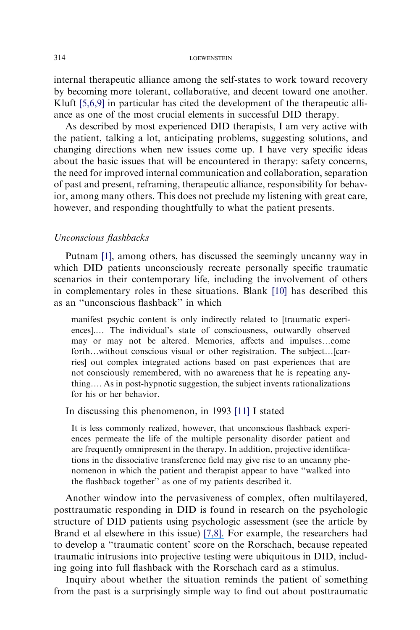internal therapeutic alliance among the self-states to work toward recovery by becoming more tolerant, collaborative, and decent toward one another. Kluft [5,6,9] in particular has cited the development of the therapeutic alliance as one of the most crucial elements in successful DID therapy.

As described by most experienced DID therapists, I am very active with the patient, talking a lot, anticipating problems, suggesting solutions, and changing directions when new issues come up. I have very specific ideas about the basic issues that will be encountered in therapy: safety concerns, the need for improved internal communication and collaboration, separation of past and present, reframing, therapeutic alliance, responsibility for behavior, among many others. This does not preclude my listening with great care, however, and responding thoughtfully to what the patient presents.

#### Unconscious flashbacks

Putnam [1], among others, has discussed the seemingly uncanny way in which DID patients unconsciously recreate personally specific traumatic scenarios in their contemporary life, including the involvement of others in complementary roles in these situations. Blank [10] has described this as an ''unconscious flashback'' in which

manifest psychic content is only indirectly related to [traumatic experiences].... The individual's state of consciousness, outwardly observed may or may not be altered. Memories, affects and impulses...come forth...without conscious visual or other registration. The subject...[carries] out complex integrated actions based on past experiences that are not consciously remembered, with no awareness that he is repeating anything.. As in post-hypnotic suggestion, the subject invents rationalizations for his or her behavior.

In discussing this phenomenon, in 1993 [11] I stated

It is less commonly realized, however, that unconscious flashback experiences permeate the life of the multiple personality disorder patient and are frequently omnipresent in the therapy. In addition, projective identifications in the dissociative transference field may give rise to an uncanny phenomenon in which the patient and therapist appear to have ''walked into the flashback together'' as one of my patients described it.

Another window into the pervasiveness of complex, often multilayered, posttraumatic responding in DID is found in research on the psychologic structure of DID patients using psychologic assessment (see the article by Brand et al elsewhere in this issue) [\[7,8\].](https://www.researchgate.net/publication/20961193_Characteristics_of_Patients_with_Multiple_Personality_and_Dissociative_Disorders_on_Psychological_Testing?el=1_x_8&enrichId=rgreq-73d025dd-a934-4b06-a278-612f2a3763d5&enrichSource=Y292ZXJQYWdlOzcyNDcwOTc7QVM6MTAzNzg4NTU1ODAwNTg2QDE0MDE3NTY1Mjg2MTI=) For example, the researchers had to develop a ''traumatic content' score on the Rorschach, because repeated traumatic intrusions into projective testing were ubiquitous in DID, including going into full flashback with the Rorschach card as a stimulus.

Inquiry about whether the situation reminds the patient of something from the past is a surprisingly simple way to find out about posttraumatic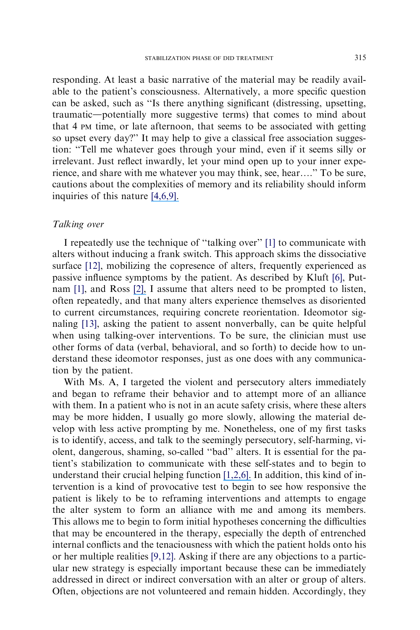responding. At least a basic narrative of the material may be readily available to the patient's consciousness. Alternatively, a more specific question can be asked, such as ''Is there anything significant (distressing, upsetting, traumatic—potentially more suggestive terms) that comes to mind about that 4 PM time, or late afternoon, that seems to be associated with getting so upset every day?'' It may help to give a classical free association suggestion: ''Tell me whatever goes through your mind, even if it seems silly or irrelevant. Just reflect inwardly, let your mind open up to your inner experience, and share with me whatever you may think, see, hear..'' To be sure, cautions about the complexities of memory and its reliability should inform inquiries of this nature [\[4,6,9\].](https://www.researchgate.net/publication/232438745_Memory_Trauma_Treatment_and_the_Law?el=1_x_8&enrichId=rgreq-73d025dd-a934-4b06-a278-612f2a3763d5&enrichSource=Y292ZXJQYWdlOzcyNDcwOTc7QVM6MTAzNzg4NTU1ODAwNTg2QDE0MDE3NTY1Mjg2MTI=)

#### Talking over

I repeatedly use the technique of ''talking over'' [1] to communicate with alters without inducing a frank switch. This approach skims the dissociative surface [12], mobilizing the copresence of alters, frequently experienced as passive influence symptoms by the patient. As described by Kluft [6], Putnam [1], and Ross [\[2\],](https://www.researchgate.net/publication/254851655_Dissociative_identity_disorder_diagnosis_clinical_features_and_treatment_of_multiple_personality_disorder_Colin_A_Ross?el=1_x_8&enrichId=rgreq-73d025dd-a934-4b06-a278-612f2a3763d5&enrichSource=Y292ZXJQYWdlOzcyNDcwOTc7QVM6MTAzNzg4NTU1ODAwNTg2QDE0MDE3NTY1Mjg2MTI=) I assume that alters need to be prompted to listen, often repeatedly, and that many alters experience themselves as disoriented to current circumstances, requiring concrete reorientation. Ideomotor signaling [13], asking the patient to assent nonverbally, can be quite helpful when using talking-over interventions. To be sure, the clinician must use other forms of data (verbal, behavioral, and so forth) to decide how to understand these ideomotor responses, just as one does with any communication by the patient.

With Ms. A, I targeted the violent and persecutory alters immediately and began to reframe their behavior and to attempt more of an alliance with them. In a patient who is not in an acute safety crisis, where these alters may be more hidden, I usually go more slowly, allowing the material develop with less active prompting by me. Nonetheless, one of my first tasks is to identify, access, and talk to the seemingly persecutory, self-harming, violent, dangerous, shaming, so-called ''bad'' alters. It is essential for the patient's stabilization to communicate with these self-states and to begin to understand their crucial helping function [\[1,2,6\].](https://www.researchgate.net/publication/254851655_Dissociative_identity_disorder_diagnosis_clinical_features_and_treatment_of_multiple_personality_disorder_Colin_A_Ross?el=1_x_8&enrichId=rgreq-73d025dd-a934-4b06-a278-612f2a3763d5&enrichSource=Y292ZXJQYWdlOzcyNDcwOTc7QVM6MTAzNzg4NTU1ODAwNTg2QDE0MDE3NTY1Mjg2MTI=) In addition, this kind of intervention is a kind of provocative test to begin to see how responsive the patient is likely to be to reframing interventions and attempts to engage the alter system to form an alliance with me and among its members. This allows me to begin to form initial hypotheses concerning the difficulties that may be encountered in the therapy, especially the depth of entrenched internal conflicts and the tenaciousness with which the patient holds onto his or her multiple realities [9,12]. Asking if there are any objections to a particular new strategy is especially important because these can be immediately addressed in direct or indirect conversation with an alter or group of alters. Often, objections are not volunteered and remain hidden. Accordingly, they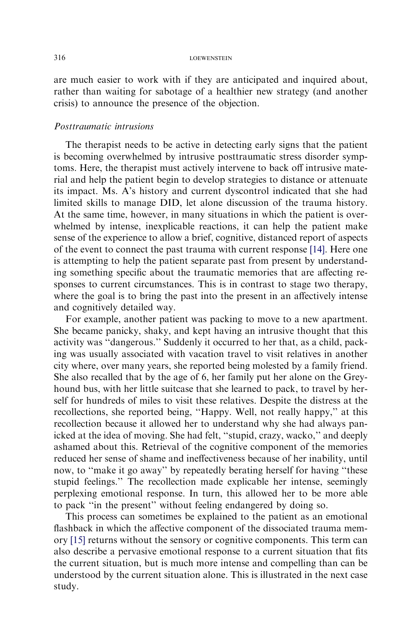are much easier to work with if they are anticipated and inquired about, rather than waiting for sabotage of a healthier new strategy (and another crisis) to announce the presence of the objection.

#### Posttraumatic intrusions

The therapist needs to be active in detecting early signs that the patient is becoming overwhelmed by intrusive posttraumatic stress disorder symptoms. Here, the therapist must actively intervene to back off intrusive material and help the patient begin to develop strategies to distance or attenuate its impact. Ms. A's history and current dyscontrol indicated that she had limited skills to manage DID, let alone discussion of the trauma history. At the same time, however, in many situations in which the patient is overwhelmed by intense, inexplicable reactions, it can help the patient make sense of the experience to allow a brief, cognitive, distanced report of aspects of the event to connect the past trauma with current response [14]. Here one is attempting to help the patient separate past from present by understanding something specific about the traumatic memories that are affecting responses to current circumstances. This is in contrast to stage two therapy, where the goal is to bring the past into the present in an affectively intense and cognitively detailed way.

For example, another patient was packing to move to a new apartment. She became panicky, shaky, and kept having an intrusive thought that this activity was ''dangerous.'' Suddenly it occurred to her that, as a child, packing was usually associated with vacation travel to visit relatives in another city where, over many years, she reported being molested by a family friend. She also recalled that by the age of 6, her family put her alone on the Greyhound bus, with her little suitcase that she learned to pack, to travel by herself for hundreds of miles to visit these relatives. Despite the distress at the recollections, she reported being, ''Happy. Well, not really happy,'' at this recollection because it allowed her to understand why she had always panicked at the idea of moving. She had felt, ''stupid, crazy, wacko,'' and deeply ashamed about this. Retrieval of the cognitive component of the memories reduced her sense of shame and ineffectiveness because of her inability, until now, to ''make it go away'' by repeatedly berating herself for having ''these stupid feelings.'' The recollection made explicable her intense, seemingly perplexing emotional response. In turn, this allowed her to be more able to pack ''in the present'' without feeling endangered by doing so.

This process can sometimes be explained to the patient as an emotional flashback in which the affective component of the dissociated trauma memory [15] returns without the sensory or cognitive components. This term can also describe a pervasive emotional response to a current situation that fits the current situation, but is much more intense and compelling than can be understood by the current situation alone. This is illustrated in the next case study.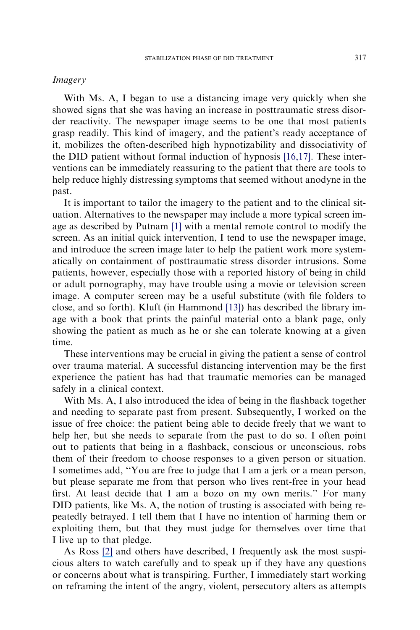#### Imagery

With Ms. A, I began to use a distancing image very quickly when she showed signs that she was having an increase in posttraumatic stress disorder reactivity. The newspaper image seems to be one that most patients grasp readily. This kind of imagery, and the patient's ready acceptance of it, mobilizes the often-described high hypnotizability and dissociativity of the DID patient without formal induction of hypnosis [16,17]. These interventions can be immediately reassuring to the patient that there are tools to help reduce highly distressing symptoms that seemed without anodyne in the past.

It is important to tailor the imagery to the patient and to the clinical situation. Alternatives to the newspaper may include a more typical screen image as described by Putnam [1] with a mental remote control to modify the screen. As an initial quick intervention, I tend to use the newspaper image, and introduce the screen image later to help the patient work more systematically on containment of posttraumatic stress disorder intrusions. Some patients, however, especially those with a reported history of being in child or adult pornography, may have trouble using a movie or television screen image. A computer screen may be a useful substitute (with file folders to close, and so forth). Kluft (in Hammond [13]) has described the library image with a book that prints the painful material onto a blank page, only showing the patient as much as he or she can tolerate knowing at a given time.

These interventions may be crucial in giving the patient a sense of control over trauma material. A successful distancing intervention may be the first experience the patient has had that traumatic memories can be managed safely in a clinical context.

With Ms. A, I also introduced the idea of being in the flashback together and needing to separate past from present. Subsequently, I worked on the issue of free choice: the patient being able to decide freely that we want to help her, but she needs to separate from the past to do so. I often point out to patients that being in a flashback, conscious or unconscious, robs them of their freedom to choose responses to a given person or situation. I sometimes add, ''You are free to judge that I am a jerk or a mean person, but please separate me from that person who lives rent-free in your head first. At least decide that I am a bozo on my own merits.'' For many DID patients, like Ms. A, the notion of trusting is associated with being repeatedly betrayed. I tell them that I have no intention of harming them or exploiting them, but that they must judge for themselves over time that I live up to that pledge.

As Ross [\[2\]](https://www.researchgate.net/publication/254851655_Dissociative_identity_disorder_diagnosis_clinical_features_and_treatment_of_multiple_personality_disorder_Colin_A_Ross?el=1_x_8&enrichId=rgreq-73d025dd-a934-4b06-a278-612f2a3763d5&enrichSource=Y292ZXJQYWdlOzcyNDcwOTc7QVM6MTAzNzg4NTU1ODAwNTg2QDE0MDE3NTY1Mjg2MTI=) and others have described, I frequently ask the most suspicious alters to watch carefully and to speak up if they have any questions or concerns about what is transpiring. Further, I immediately start working on reframing the intent of the angry, violent, persecutory alters as attempts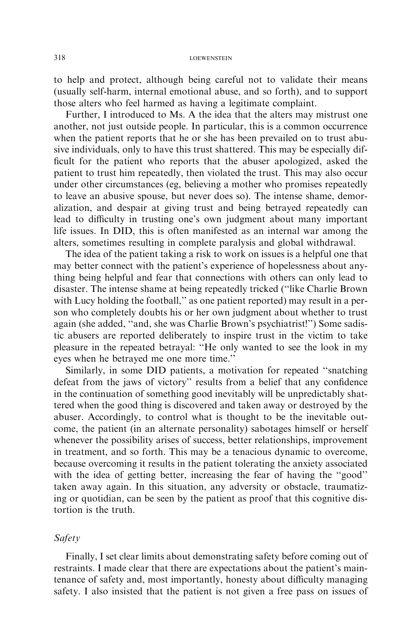to help and protect, although being careful not to validate their means (usually self-harm, internal emotional abuse, and so forth), and to support those alters who feel harmed as having a legitimate complaint.

Further, I introduced to Ms. A the idea that the alters may mistrust one another, not just outside people. In particular, this is a common occurrence when the patient reports that he or she has been prevailed on to trust abusive individuals, only to have this trust shattered. This may be especially difficult for the patient who reports that the abuser apologized, asked the patient to trust him repeatedly, then violated the trust. This may also occur under other circumstances (eg, believing a mother who promises repeatedly to leave an abusive spouse, but never does so). The intense shame, demoralization, and despair at giving trust and being betrayed repeatedly can lead to difficulty in trusting one's own judgment about many important life issues. In DID, this is often manifested as an internal war among the alters, sometimes resulting in complete paralysis and global withdrawal.

The idea of the patient taking a risk to work on issues is a helpful one that may better connect with the patient's experience of hopelessness about anything being helpful and fear that connections with others can only lead to disaster. The intense shame at being repeatedly tricked (''like Charlie Brown with Lucy holding the football," as one patient reported) may result in a person who completely doubts his or her own judgment about whether to trust again (she added, ''and, she was Charlie Brown's psychiatrist!'') Some sadistic abusers are reported deliberately to inspire trust in the victim to take pleasure in the repeated betrayal: ''He only wanted to see the look in my eyes when he betrayed me one more time.''

Similarly, in some DID patients, a motivation for repeated ''snatching defeat from the jaws of victory'' results from a belief that any confidence in the continuation of something good inevitably will be unpredictably shattered when the good thing is discovered and taken away or destroyed by the abuser. Accordingly, to control what is thought to be the inevitable outcome, the patient (in an alternate personality) sabotages himself or herself whenever the possibility arises of success, better relationships, improvement in treatment, and so forth. This may be a tenacious dynamic to overcome, because overcoming it results in the patient tolerating the anxiety associated with the idea of getting better, increasing the fear of having the "good" taken away again. In this situation, any adversity or obstacle, traumatizing or quotidian, can be seen by the patient as proof that this cognitive distortion is the truth.

#### Safety

Finally, I set clear limits about demonstrating safety before coming out of restraints. I made clear that there are expectations about the patient's maintenance of safety and, most importantly, honesty about difficulty managing safety. I also insisted that the patient is not given a free pass on issues of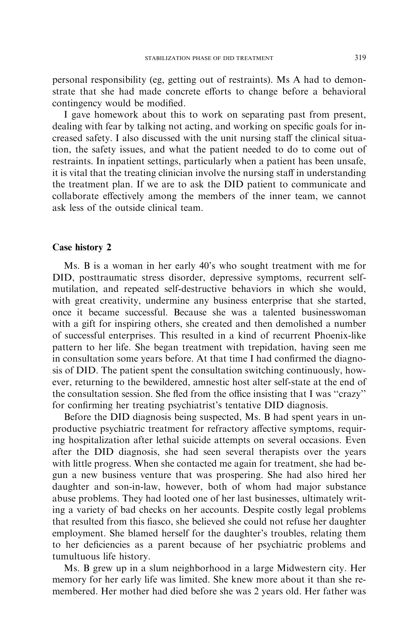personal responsibility (eg, getting out of restraints). Ms A had to demonstrate that she had made concrete efforts to change before a behavioral contingency would be modified.

I gave homework about this to work on separating past from present, dealing with fear by talking not acting, and working on specific goals for increased safety. I also discussed with the unit nursing staff the clinical situation, the safety issues, and what the patient needed to do to come out of restraints. In inpatient settings, particularly when a patient has been unsafe, it is vital that the treating clinician involve the nursing staff in understanding the treatment plan. If we are to ask the DID patient to communicate and collaborate effectively among the members of the inner team, we cannot ask less of the outside clinical team.

#### Case history 2

Ms. B is a woman in her early 40's who sought treatment with me for DID, posttraumatic stress disorder, depressive symptoms, recurrent selfmutilation, and repeated self-destructive behaviors in which she would, with great creativity, undermine any business enterprise that she started, once it became successful. Because she was a talented businesswoman with a gift for inspiring others, she created and then demolished a number of successful enterprises. This resulted in a kind of recurrent Phoenix-like pattern to her life. She began treatment with trepidation, having seen me in consultation some years before. At that time I had confirmed the diagnosis of DID. The patient spent the consultation switching continuously, however, returning to the bewildered, amnestic host alter self-state at the end of the consultation session. She fled from the office insisting that I was ''crazy'' for confirming her treating psychiatrist's tentative DID diagnosis.

Before the DID diagnosis being suspected, Ms. B had spent years in unproductive psychiatric treatment for refractory affective symptoms, requiring hospitalization after lethal suicide attempts on several occasions. Even after the DID diagnosis, she had seen several therapists over the years with little progress. When she contacted me again for treatment, she had begun a new business venture that was prospering. She had also hired her daughter and son-in-law, however, both of whom had major substance abuse problems. They had looted one of her last businesses, ultimately writing a variety of bad checks on her accounts. Despite costly legal problems that resulted from this fiasco, she believed she could not refuse her daughter employment. She blamed herself for the daughter's troubles, relating them to her deficiencies as a parent because of her psychiatric problems and tumultuous life history.

Ms. B grew up in a slum neighborhood in a large Midwestern city. Her memory for her early life was limited. She knew more about it than she remembered. Her mother had died before she was 2 years old. Her father was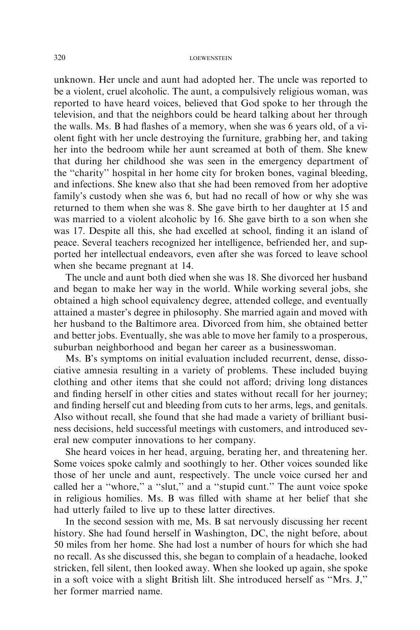unknown. Her uncle and aunt had adopted her. The uncle was reported to be a violent, cruel alcoholic. The aunt, a compulsively religious woman, was reported to have heard voices, believed that God spoke to her through the television, and that the neighbors could be heard talking about her through the walls. Ms. B had flashes of a memory, when she was 6 years old, of a violent fight with her uncle destroying the furniture, grabbing her, and taking her into the bedroom while her aunt screamed at both of them. She knew that during her childhood she was seen in the emergency department of the ''charity'' hospital in her home city for broken bones, vaginal bleeding, and infections. She knew also that she had been removed from her adoptive family's custody when she was 6, but had no recall of how or why she was returned to them when she was 8. She gave birth to her daughter at 15 and was married to a violent alcoholic by 16. She gave birth to a son when she was 17. Despite all this, she had excelled at school, finding it an island of peace. Several teachers recognized her intelligence, befriended her, and supported her intellectual endeavors, even after she was forced to leave school when she became pregnant at 14.

The uncle and aunt both died when she was 18. She divorced her husband and began to make her way in the world. While working several jobs, she obtained a high school equivalency degree, attended college, and eventually attained a master's degree in philosophy. She married again and moved with her husband to the Baltimore area. Divorced from him, she obtained better and better jobs. Eventually, she was able to move her family to a prosperous, suburban neighborhood and began her career as a businesswoman.

Ms. B's symptoms on initial evaluation included recurrent, dense, dissociative amnesia resulting in a variety of problems. These included buying clothing and other items that she could not afford; driving long distances and finding herself in other cities and states without recall for her journey; and finding herself cut and bleeding from cuts to her arms, legs, and genitals. Also without recall, she found that she had made a variety of brilliant business decisions, held successful meetings with customers, and introduced several new computer innovations to her company.

She heard voices in her head, arguing, berating her, and threatening her. Some voices spoke calmly and soothingly to her. Other voices sounded like those of her uncle and aunt, respectively. The uncle voice cursed her and called her a ''whore,'' a ''slut,'' and a ''stupid cunt.'' The aunt voice spoke in religious homilies. Ms. B was filled with shame at her belief that she had utterly failed to live up to these latter directives.

In the second session with me, Ms. B sat nervously discussing her recent history. She had found herself in Washington, DC, the night before, about 50 miles from her home. She had lost a number of hours for which she had no recall. As she discussed this, she began to complain of a headache, looked stricken, fell silent, then looked away. When she looked up again, she spoke in a soft voice with a slight British lilt. She introduced herself as ''Mrs. J,'' her former married name.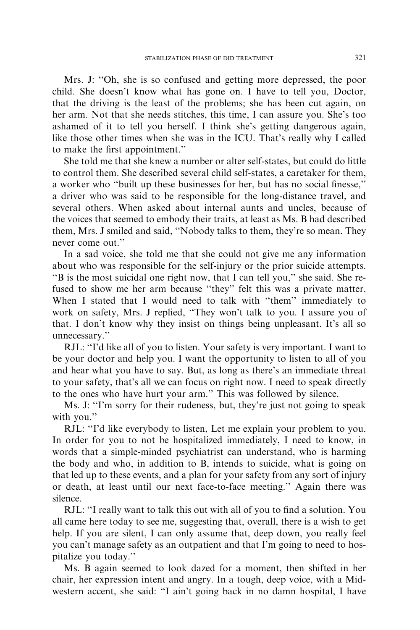Mrs. J: ''Oh, she is so confused and getting more depressed, the poor child. She doesn't know what has gone on. I have to tell you, Doctor, that the driving is the least of the problems; she has been cut again, on her arm. Not that she needs stitches, this time, I can assure you. She's too ashamed of it to tell you herself. I think she's getting dangerous again, like those other times when she was in the ICU. That's really why I called to make the first appointment.''

She told me that she knew a number or alter self-states, but could do little to control them. She described several child self-states, a caretaker for them, a worker who ''built up these businesses for her, but has no social finesse,'' a driver who was said to be responsible for the long-distance travel, and several others. When asked about internal aunts and uncles, because of the voices that seemed to embody their traits, at least as Ms. B had described them, Mrs. J smiled and said, ''Nobody talks to them, they're so mean. They never come out.''

In a sad voice, she told me that she could not give me any information about who was responsible for the self-injury or the prior suicide attempts. ''B is the most suicidal one right now, that I can tell you,'' she said. She refused to show me her arm because ''they'' felt this was a private matter. When I stated that I would need to talk with "them" immediately to work on safety, Mrs. J replied, ''They won't talk to you. I assure you of that. I don't know why they insist on things being unpleasant. It's all so unnecessary.''

RJL: ''I'd like all of you to listen. Your safety is very important. I want to be your doctor and help you. I want the opportunity to listen to all of you and hear what you have to say. But, as long as there's an immediate threat to your safety, that's all we can focus on right now. I need to speak directly to the ones who have hurt your arm.'' This was followed by silence.

Ms. J: "I'm sorry for their rudeness, but, they're just not going to speak with you."

RJL: ''I'd like everybody to listen, Let me explain your problem to you. In order for you to not be hospitalized immediately, I need to know, in words that a simple-minded psychiatrist can understand, who is harming the body and who, in addition to B, intends to suicide, what is going on that led up to these events, and a plan for your safety from any sort of injury or death, at least until our next face-to-face meeting.'' Again there was silence.

RJL: ''I really want to talk this out with all of you to find a solution. You all came here today to see me, suggesting that, overall, there is a wish to get help. If you are silent, I can only assume that, deep down, you really feel you can't manage safety as an outpatient and that I'm going to need to hospitalize you today.''

Ms. B again seemed to look dazed for a moment, then shifted in her chair, her expression intent and angry. In a tough, deep voice, with a Midwestern accent, she said: ''I ain't going back in no damn hospital, I have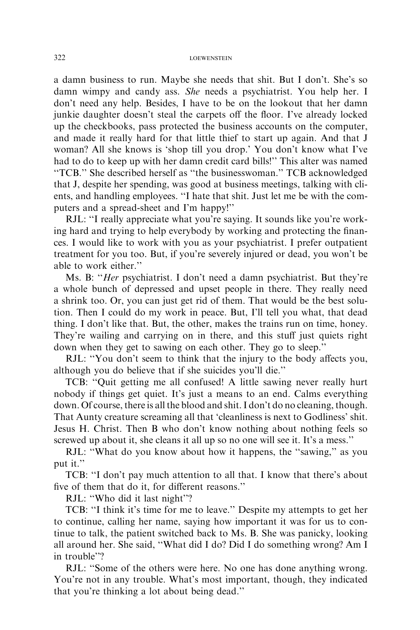a damn business to run. Maybe she needs that shit. But I don't. She's so damn wimpy and candy ass. She needs a psychiatrist. You help her. I don't need any help. Besides, I have to be on the lookout that her damn junkie daughter doesn't steal the carpets off the floor. I've already locked up the checkbooks, pass protected the business accounts on the computer, and made it really hard for that little thief to start up again. And that J woman? All she knows is 'shop till you drop.' You don't know what I've had to do to keep up with her damn credit card bills!'' This alter was named ''TCB.'' She described herself as ''the businesswoman.'' TCB acknowledged that J, despite her spending, was good at business meetings, talking with clients, and handling employees. ''I hate that shit. Just let me be with the computers and a spread-sheet and I'm happy!''

RJL: ''I really appreciate what you're saying. It sounds like you're working hard and trying to help everybody by working and protecting the finances. I would like to work with you as your psychiatrist. I prefer outpatient treatment for you too. But, if you're severely injured or dead, you won't be able to work either.''

Ms. B: "Her psychiatrist. I don't need a damn psychiatrist. But they're a whole bunch of depressed and upset people in there. They really need a shrink too. Or, you can just get rid of them. That would be the best solution. Then I could do my work in peace. But, I'll tell you what, that dead thing. I don't like that. But, the other, makes the trains run on time, honey. They're wailing and carrying on in there, and this stuff just quiets right down when they get to sawing on each other. They go to sleep.''

RJL: ''You don't seem to think that the injury to the body affects you, although you do believe that if she suicides you'll die.''

TCB: ''Quit getting me all confused! A little sawing never really hurt nobody if things get quiet. It's just a means to an end. Calms everything down. Of course, there is all the blood and shit. I don't do no cleaning, though. That Aunty creature screaming all that 'cleanliness is next to Godliness' shit. Jesus H. Christ. Then B who don't know nothing about nothing feels so screwed up about it, she cleans it all up so no one will see it. It's a mess.''

RJL: ''What do you know about how it happens, the ''sawing,'' as you put it.''

TCB: ''I don't pay much attention to all that. I know that there's about five of them that do it, for different reasons.''

RJL: ''Who did it last night''?

TCB: ''I think it's time for me to leave.'' Despite my attempts to get her to continue, calling her name, saying how important it was for us to continue to talk, the patient switched back to Ms. B. She was panicky, looking all around her. She said, ''What did I do? Did I do something wrong? Am I in trouble''?

RJL: ''Some of the others were here. No one has done anything wrong. You're not in any trouble. What's most important, though, they indicated that you're thinking a lot about being dead.''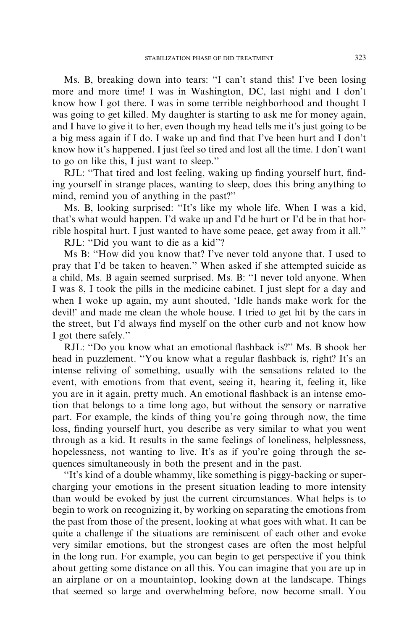Ms. B, breaking down into tears: ''I can't stand this! I've been losing more and more time! I was in Washington, DC, last night and I don't know how I got there. I was in some terrible neighborhood and thought I was going to get killed. My daughter is starting to ask me for money again, and I have to give it to her, even though my head tells me it's just going to be a big mess again if I do. I wake up and find that I've been hurt and I don't know how it's happened. I just feel so tired and lost all the time. I don't want to go on like this, I just want to sleep.''

RJL: ''That tired and lost feeling, waking up finding yourself hurt, finding yourself in strange places, wanting to sleep, does this bring anything to mind, remind you of anything in the past?''

Ms. B, looking surprised: ''It's like my whole life. When I was a kid, that's what would happen. I'd wake up and I'd be hurt or I'd be in that horrible hospital hurt. I just wanted to have some peace, get away from it all.''

RJL: ''Did you want to die as a kid''?

Ms B: ''How did you know that? I've never told anyone that. I used to pray that I'd be taken to heaven.'' When asked if she attempted suicide as a child, Ms. B again seemed surprised. Ms. B: ''I never told anyone. When I was 8, I took the pills in the medicine cabinet. I just slept for a day and when I woke up again, my aunt shouted, 'Idle hands make work for the devil!' and made me clean the whole house. I tried to get hit by the cars in the street, but I'd always find myself on the other curb and not know how I got there safely.''

RJL: ''Do you know what an emotional flashback is?'' Ms. B shook her head in puzzlement. ''You know what a regular flashback is, right? It's an intense reliving of something, usually with the sensations related to the event, with emotions from that event, seeing it, hearing it, feeling it, like you are in it again, pretty much. An emotional flashback is an intense emotion that belongs to a time long ago, but without the sensory or narrative part. For example, the kinds of thing you're going through now, the time loss, finding yourself hurt, you describe as very similar to what you went through as a kid. It results in the same feelings of loneliness, helplessness, hopelessness, not wanting to live. It's as if you're going through the sequences simultaneously in both the present and in the past.

''It's kind of a double whammy, like something is piggy-backing or supercharging your emotions in the present situation leading to more intensity than would be evoked by just the current circumstances. What helps is to begin to work on recognizing it, by working on separating the emotions from the past from those of the present, looking at what goes with what. It can be quite a challenge if the situations are reminiscent of each other and evoke very similar emotions, but the strongest cases are often the most helpful in the long run. For example, you can begin to get perspective if you think about getting some distance on all this. You can imagine that you are up in an airplane or on a mountaintop, looking down at the landscape. Things that seemed so large and overwhelming before, now become small. You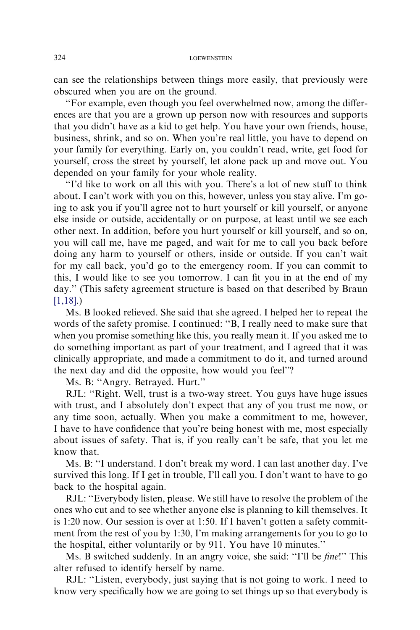can see the relationships between things more easily, that previously were obscured when you are on the ground.

''For example, even though you feel overwhelmed now, among the differences are that you are a grown up person now with resources and supports that you didn't have as a kid to get help. You have your own friends, house, business, shrink, and so on. When you're real little, you have to depend on your family for everything. Early on, you couldn't read, write, get food for yourself, cross the street by yourself, let alone pack up and move out. You depended on your family for your whole reality.

''I'd like to work on all this with you. There's a lot of new stuff to think about. I can't work with you on this, however, unless you stay alive. I'm going to ask you if you'll agree not to hurt yourself or kill yourself, or anyone else inside or outside, accidentally or on purpose, at least until we see each other next. In addition, before you hurt yourself or kill yourself, and so on, you will call me, have me paged, and wait for me to call you back before doing any harm to yourself or others, inside or outside. If you can't wait for my call back, you'd go to the emergency room. If you can commit to this, I would like to see you tomorrow. I can fit you in at the end of my day.'' (This safety agreement structure is based on that described by Braun  $[1,18]$ .)

Ms. B looked relieved. She said that she agreed. I helped her to repeat the words of the safety promise. I continued: ''B, I really need to make sure that when you promise something like this, you really mean it. If you asked me to do something important as part of your treatment, and I agreed that it was clinically appropriate, and made a commitment to do it, and turned around the next day and did the opposite, how would you feel''?

Ms. B: ''Angry. Betrayed. Hurt.''

RJL: ''Right. Well, trust is a two-way street. You guys have huge issues with trust, and I absolutely don't expect that any of you trust me now, or any time soon, actually. When you make a commitment to me, however, I have to have confidence that you're being honest with me, most especially about issues of safety. That is, if you really can't be safe, that you let me know that.

Ms. B: ''I understand. I don't break my word. I can last another day. I've survived this long. If I get in trouble, I'll call you. I don't want to have to go back to the hospital again.

RJL: ''Everybody listen, please. We still have to resolve the problem of the ones who cut and to see whether anyone else is planning to kill themselves. It is 1:20 now. Our session is over at 1:50. If I haven't gotten a safety commitment from the rest of you by 1:30, I'm making arrangements for you to go to the hospital, either voluntarily or by 911. You have 10 minutes.''

Ms. B switched suddenly. In an angry voice, she said: "I'll be *fine!*" This alter refused to identify herself by name.

RJL: ''Listen, everybody, just saying that is not going to work. I need to know very specifically how we are going to set things up so that everybody is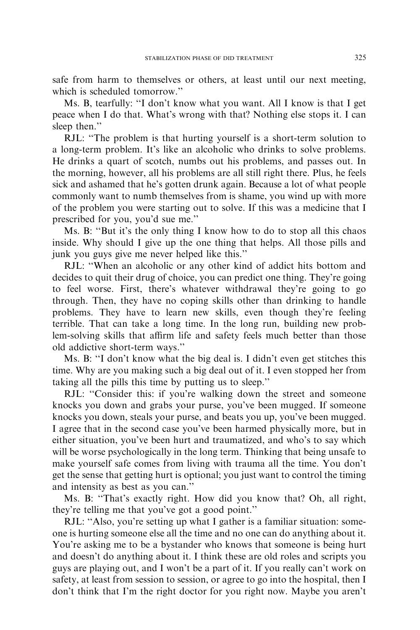safe from harm to themselves or others, at least until our next meeting, which is scheduled tomorrow.''

Ms. B, tearfully: ''I don't know what you want. All I know is that I get peace when I do that. What's wrong with that? Nothing else stops it. I can sleep then.''

RJL: ''The problem is that hurting yourself is a short-term solution to a long-term problem. It's like an alcoholic who drinks to solve problems. He drinks a quart of scotch, numbs out his problems, and passes out. In the morning, however, all his problems are all still right there. Plus, he feels sick and ashamed that he's gotten drunk again. Because a lot of what people commonly want to numb themselves from is shame, you wind up with more of the problem you were starting out to solve. If this was a medicine that I prescribed for you, you'd sue me.''

Ms. B: ''But it's the only thing I know how to do to stop all this chaos inside. Why should I give up the one thing that helps. All those pills and junk you guys give me never helped like this.''

RJL: ''When an alcoholic or any other kind of addict hits bottom and decides to quit their drug of choice, you can predict one thing. They're going to feel worse. First, there's whatever withdrawal they're going to go through. Then, they have no coping skills other than drinking to handle problems. They have to learn new skills, even though they're feeling terrible. That can take a long time. In the long run, building new problem-solving skills that affirm life and safety feels much better than those old addictive short-term ways.''

Ms. B: ''I don't know what the big deal is. I didn't even get stitches this time. Why are you making such a big deal out of it. I even stopped her from taking all the pills this time by putting us to sleep.''

RJL: ''Consider this: if you're walking down the street and someone knocks you down and grabs your purse, you've been mugged. If someone knocks you down, steals your purse, and beats you up, you've been mugged. I agree that in the second case you've been harmed physically more, but in either situation, you've been hurt and traumatized, and who's to say which will be worse psychologically in the long term. Thinking that being unsafe to make yourself safe comes from living with trauma all the time. You don't get the sense that getting hurt is optional; you just want to control the timing and intensity as best as you can.''

Ms. B: ''That's exactly right. How did you know that? Oh, all right, they're telling me that you've got a good point.''

RJL: ''Also, you're setting up what I gather is a familiar situation: someone is hurting someone else all the time and no one can do anything about it. You're asking me to be a bystander who knows that someone is being hurt and doesn't do anything about it. I think these are old roles and scripts you guys are playing out, and I won't be a part of it. If you really can't work on safety, at least from session to session, or agree to go into the hospital, then I don't think that I'm the right doctor for you right now. Maybe you aren't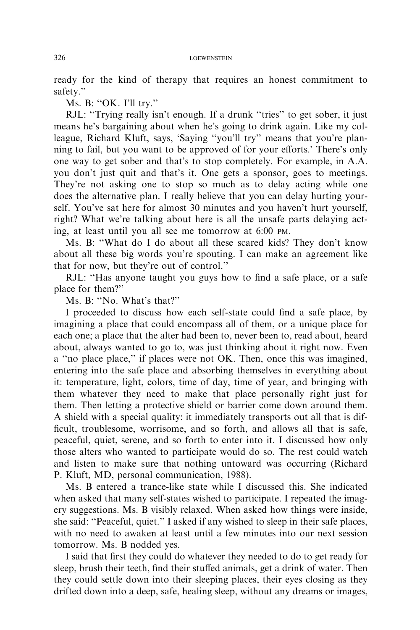ready for the kind of therapy that requires an honest commitment to safety.''

Ms. B: "OK. I'll try."

RJL: ''Trying really isn't enough. If a drunk ''tries'' to get sober, it just means he's bargaining about when he's going to drink again. Like my colleague, Richard Kluft, says, 'Saying ''you'll try'' means that you're planning to fail, but you want to be approved of for your efforts.' There's only one way to get sober and that's to stop completely. For example, in A.A. you don't just quit and that's it. One gets a sponsor, goes to meetings. They're not asking one to stop so much as to delay acting while one does the alternative plan. I really believe that you can delay hurting yourself. You've sat here for almost 30 minutes and you haven't hurt yourself, right? What we're talking about here is all the unsafe parts delaying acting, at least until you all see me tomorrow at 6:00 PM.

Ms. B: ''What do I do about all these scared kids? They don't know about all these big words you're spouting. I can make an agreement like that for now, but they're out of control.''

RJL: ''Has anyone taught you guys how to find a safe place, or a safe place for them?''

Ms. B: ''No. What's that?''

I proceeded to discuss how each self-state could find a safe place, by imagining a place that could encompass all of them, or a unique place for each one; a place that the alter had been to, never been to, read about, heard about, always wanted to go to, was just thinking about it right now. Even a ''no place place,'' if places were not OK. Then, once this was imagined, entering into the safe place and absorbing themselves in everything about it: temperature, light, colors, time of day, time of year, and bringing with them whatever they need to make that place personally right just for them. Then letting a protective shield or barrier come down around them. A shield with a special quality: it immediately transports out all that is difficult, troublesome, worrisome, and so forth, and allows all that is safe, peaceful, quiet, serene, and so forth to enter into it. I discussed how only those alters who wanted to participate would do so. The rest could watch and listen to make sure that nothing untoward was occurring (Richard P. Kluft, MD, personal communication, 1988).

Ms. B entered a trance-like state while I discussed this. She indicated when asked that many self-states wished to participate. I repeated the imagery suggestions. Ms. B visibly relaxed. When asked how things were inside, she said: ''Peaceful, quiet.'' I asked if any wished to sleep in their safe places, with no need to awaken at least until a few minutes into our next session tomorrow. Ms. B nodded yes.

I said that first they could do whatever they needed to do to get ready for sleep, brush their teeth, find their stuffed animals, get a drink of water. Then they could settle down into their sleeping places, their eyes closing as they drifted down into a deep, safe, healing sleep, without any dreams or images,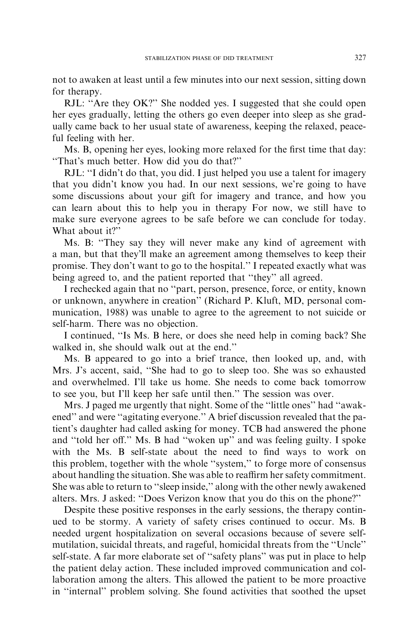not to awaken at least until a few minutes into our next session, sitting down for therapy.

RJL: ''Are they OK?'' She nodded yes. I suggested that she could open her eyes gradually, letting the others go even deeper into sleep as she gradually came back to her usual state of awareness, keeping the relaxed, peaceful feeling with her.

Ms. B, opening her eyes, looking more relaxed for the first time that day: ''That's much better. How did you do that?''

RJL: ''I didn't do that, you did. I just helped you use a talent for imagery that you didn't know you had. In our next sessions, we're going to have some discussions about your gift for imagery and trance, and how you can learn about this to help you in therapy For now, we still have to make sure everyone agrees to be safe before we can conclude for today. What about it?"

Ms. B: ''They say they will never make any kind of agreement with a man, but that they'll make an agreement among themselves to keep their promise. They don't want to go to the hospital.'' I repeated exactly what was being agreed to, and the patient reported that ''they'' all agreed.

I rechecked again that no ''part, person, presence, force, or entity, known or unknown, anywhere in creation'' (Richard P. Kluft, MD, personal communication, 1988) was unable to agree to the agreement to not suicide or self-harm. There was no objection.

I continued, ''Is Ms. B here, or does she need help in coming back? She walked in, she should walk out at the end.''

Ms. B appeared to go into a brief trance, then looked up, and, with Mrs. J's accent, said, ''She had to go to sleep too. She was so exhausted and overwhelmed. I'll take us home. She needs to come back tomorrow to see you, but I'll keep her safe until then.'' The session was over.

Mrs. J paged me urgently that night. Some of the ''little ones'' had ''awakened'' and were ''agitating everyone.'' A brief discussion revealed that the patient's daughter had called asking for money. TCB had answered the phone and ''told her off.'' Ms. B had ''woken up'' and was feeling guilty. I spoke with the Ms. B self-state about the need to find ways to work on this problem, together with the whole ''system,'' to forge more of consensus about handling the situation. She was able to reaffirm her safety commitment. She was able to return to ''sleep inside,'' along with the other newly awakened alters. Mrs. J asked: ''Does Verizon know that you do this on the phone?''

Despite these positive responses in the early sessions, the therapy continued to be stormy. A variety of safety crises continued to occur. Ms. B needed urgent hospitalization on several occasions because of severe selfmutilation, suicidal threats, and rageful, homicidal threats from the ''Uncle'' self-state. A far more elaborate set of ''safety plans'' was put in place to help the patient delay action. These included improved communication and collaboration among the alters. This allowed the patient to be more proactive in ''internal'' problem solving. She found activities that soothed the upset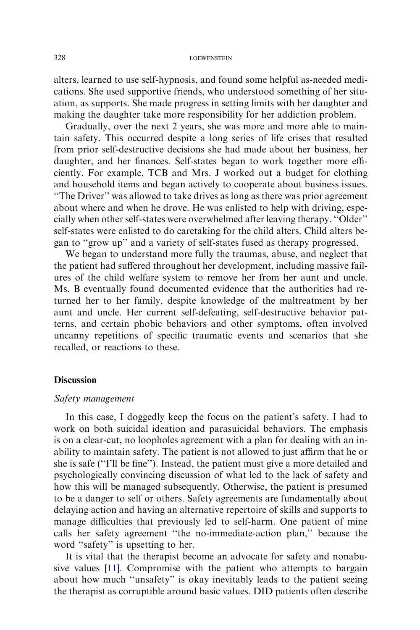#### 328 LOEWENSTEIN

alters, learned to use self-hypnosis, and found some helpful as-needed medications. She used supportive friends, who understood something of her situation, as supports. She made progress in setting limits with her daughter and making the daughter take more responsibility for her addiction problem.

Gradually, over the next 2 years, she was more and more able to maintain safety. This occurred despite a long series of life crises that resulted from prior self-destructive decisions she had made about her business, her daughter, and her finances. Self-states began to work together more efficiently. For example, TCB and Mrs. J worked out a budget for clothing and household items and began actively to cooperate about business issues. ''The Driver'' was allowed to take drives as long as there was prior agreement about where and when he drove. He was enlisted to help with driving, especially when other self-states were overwhelmed after leaving therapy. ''Older'' self-states were enlisted to do caretaking for the child alters. Child alters began to ''grow up'' and a variety of self-states fused as therapy progressed.

We began to understand more fully the traumas, abuse, and neglect that the patient had suffered throughout her development, including massive failures of the child welfare system to remove her from her aunt and uncle. Ms. B eventually found documented evidence that the authorities had returned her to her family, despite knowledge of the maltreatment by her aunt and uncle. Her current self-defeating, self-destructive behavior patterns, and certain phobic behaviors and other symptoms, often involved uncanny repetitions of specific traumatic events and scenarios that she recalled, or reactions to these.

#### **Discussion**

#### Safety management

In this case, I doggedly keep the focus on the patient's safety. I had to work on both suicidal ideation and parasuicidal behaviors. The emphasis is on a clear-cut, no loopholes agreement with a plan for dealing with an inability to maintain safety. The patient is not allowed to just affirm that he or she is safe (''I'll be fine''). Instead, the patient must give a more detailed and psychologically convincing discussion of what led to the lack of safety and how this will be managed subsequently. Otherwise, the patient is presumed to be a danger to self or others. Safety agreements are fundamentally about delaying action and having an alternative repertoire of skills and supports to manage difficulties that previously led to self-harm. One patient of mine calls her safety agreement ''the no-immediate-action plan,'' because the word "safety" is upsetting to her.

It is vital that the therapist become an advocate for safety and nonabusive values [11]. Compromise with the patient who attempts to bargain about how much ''unsafety'' is okay inevitably leads to the patient seeing the therapist as corruptible around basic values. DID patients often describe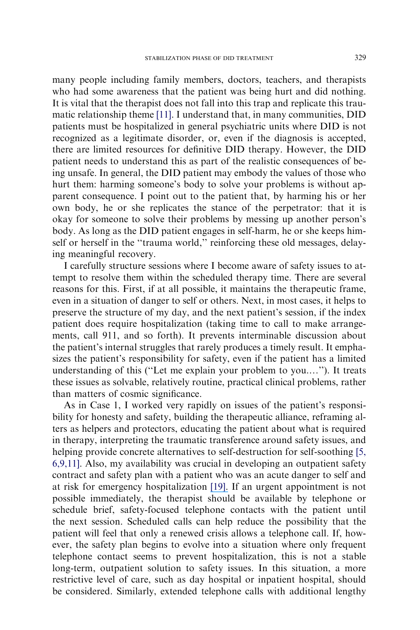many people including family members, doctors, teachers, and therapists who had some awareness that the patient was being hurt and did nothing. It is vital that the therapist does not fall into this trap and replicate this traumatic relationship theme [11]. I understand that, in many communities, DID patients must be hospitalized in general psychiatric units where DID is not recognized as a legitimate disorder, or, even if the diagnosis is accepted, there are limited resources for definitive DID therapy. However, the DID patient needs to understand this as part of the realistic consequences of being unsafe. In general, the DID patient may embody the values of those who hurt them: harming someone's body to solve your problems is without apparent consequence. I point out to the patient that, by harming his or her own body, he or she replicates the stance of the perpetrator: that it is okay for someone to solve their problems by messing up another person's body. As long as the DID patient engages in self-harm, he or she keeps himself or herself in the "trauma world," reinforcing these old messages, delaying meaningful recovery.

I carefully structure sessions where I become aware of safety issues to attempt to resolve them within the scheduled therapy time. There are several reasons for this. First, if at all possible, it maintains the therapeutic frame, even in a situation of danger to self or others. Next, in most cases, it helps to preserve the structure of my day, and the next patient's session, if the index patient does require hospitalization (taking time to call to make arrangements, call 911, and so forth). It prevents interminable discussion about the patient's internal struggles that rarely produces a timely result. It emphasizes the patient's responsibility for safety, even if the patient has a limited understanding of this (''Let me explain your problem to you..''). It treats these issues as solvable, relatively routine, practical clinical problems, rather than matters of cosmic significance.

As in Case 1, I worked very rapidly on issues of the patient's responsibility for honesty and safety, building the therapeutic alliance, reframing alters as helpers and protectors, educating the patient about what is required in therapy, interpreting the traumatic transference around safety issues, and helping provide concrete alternatives to self-destruction for self-soothing [5, 6,9,11]. Also, my availability was crucial in developing an outpatient safety contract and safety plan with a patient who was an acute danger to self and at risk for emergency hospitalization [\[19\].](https://www.researchgate.net/publication/245683513_The_Cognitive_Behavioural_Treatment_of_Borderline_Personality_Disorder?el=1_x_8&enrichId=rgreq-73d025dd-a934-4b06-a278-612f2a3763d5&enrichSource=Y292ZXJQYWdlOzcyNDcwOTc7QVM6MTAzNzg4NTU1ODAwNTg2QDE0MDE3NTY1Mjg2MTI=) If an urgent appointment is not possible immediately, the therapist should be available by telephone or schedule brief, safety-focused telephone contacts with the patient until the next session. Scheduled calls can help reduce the possibility that the patient will feel that only a renewed crisis allows a telephone call. If, however, the safety plan begins to evolve into a situation where only frequent telephone contact seems to prevent hospitalization, this is not a stable long-term, outpatient solution to safety issues. In this situation, a more restrictive level of care, such as day hospital or inpatient hospital, should be considered. Similarly, extended telephone calls with additional lengthy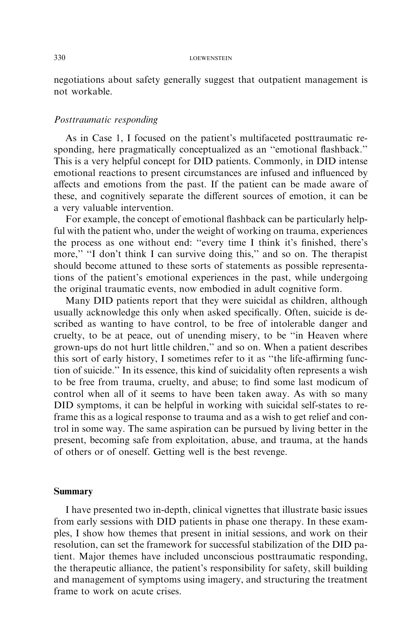negotiations about safety generally suggest that outpatient management is not workable.

#### Posttraumatic responding

As in Case 1, I focused on the patient's multifaceted posttraumatic responding, here pragmatically conceptualized as an ''emotional flashback.'' This is a very helpful concept for DID patients. Commonly, in DID intense emotional reactions to present circumstances are infused and influenced by affects and emotions from the past. If the patient can be made aware of these, and cognitively separate the different sources of emotion, it can be a very valuable intervention.

For example, the concept of emotional flashback can be particularly helpful with the patient who, under the weight of working on trauma, experiences the process as one without end: ''every time I think it's finished, there's more," "I don't think I can survive doing this," and so on. The therapist should become attuned to these sorts of statements as possible representations of the patient's emotional experiences in the past, while undergoing the original traumatic events, now embodied in adult cognitive form.

Many DID patients report that they were suicidal as children, although usually acknowledge this only when asked specifically. Often, suicide is described as wanting to have control, to be free of intolerable danger and cruelty, to be at peace, out of unending misery, to be ''in Heaven where grown-ups do not hurt little children,'' and so on. When a patient describes this sort of early history, I sometimes refer to it as ''the life-affirming function of suicide.'' In its essence, this kind of suicidality often represents a wish to be free from trauma, cruelty, and abuse; to find some last modicum of control when all of it seems to have been taken away. As with so many DID symptoms, it can be helpful in working with suicidal self-states to reframe this as a logical response to trauma and as a wish to get relief and control in some way. The same aspiration can be pursued by living better in the present, becoming safe from exploitation, abuse, and trauma, at the hands of others or of oneself. Getting well is the best revenge.

#### Summary

I have presented two in-depth, clinical vignettes that illustrate basic issues from early sessions with DID patients in phase one therapy. In these examples, I show how themes that present in initial sessions, and work on their resolution, can set the framework for successful stabilization of the DID patient. Major themes have included unconscious posttraumatic responding, the therapeutic alliance, the patient's responsibility for safety, skill building and management of symptoms using imagery, and structuring the treatment frame to work on acute crises.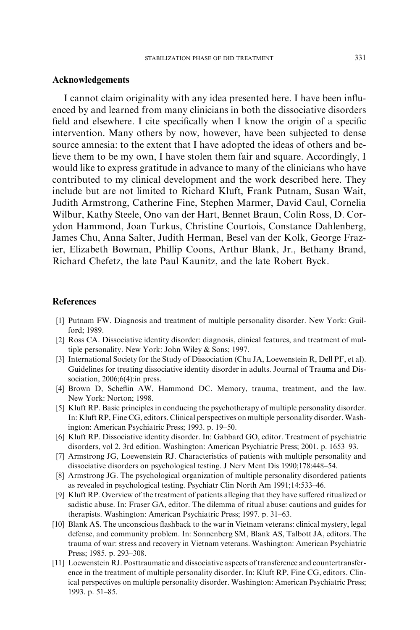#### Acknowledgements

I cannot claim originality with any idea presented here. I have been influenced by and learned from many clinicians in both the dissociative disorders field and elsewhere. I cite specifically when I know the origin of a specific intervention. Many others by now, however, have been subjected to dense source amnesia: to the extent that I have adopted the ideas of others and believe them to be my own, I have stolen them fair and square. Accordingly, I would like to express gratitude in advance to many of the clinicians who have contributed to my clinical development and the work described here. They include but are not limited to Richard Kluft, Frank Putnam, Susan Wait, Judith Armstrong, Catherine Fine, Stephen Marmer, David Caul, Cornelia Wilbur, Kathy Steele, Ono van der Hart, Bennet Braun, Colin Ross, D. Corydon Hammond, Joan Turkus, Christine Courtois, Constance Dahlenberg, James Chu, Anna Salter, Judith Herman, Besel van der Kolk, George Frazier, Elizabeth Bowman, Phillip Coons, Arthur Blank, Jr., Bethany Brand, Richard Chefetz, the late Paul Kaunitz, and the late Robert Byck.

#### References

- [1] Putnam FW. Diagnosis and treatment of multiple personality disorder. New York: Guilford; 1989.
- [2] Ross CA. Dissociative identity disorder: diagnosis, clinical features, and treatment of multiple personality. New York: John Wiley & Sons; 1997.
- [3] International Society for the Study of Dissociation (Chu JA, Loewenstein R, Dell PF, et al). Guidelines for treating dissociative identity disorder in adults. Journal of Trauma and Dissociation, 2006;6(4):in press.
- [4] Brown D, Scheflin AW, Hammond DC. Memory, trauma, treatment, and the law. New York: Norton; 1998.
- [5] Kluft RP. Basic principles in conducing the psychotherapy of multiple personality disorder. In: Kluft RP, Fine CG, editors. Clinical perspectives on multiple personality disorder. Washington: American Psychiatric Press; 1993. p. 19–50.
- [6] Kluft RP. Dissociative identity disorder. In: Gabbard GO, editor. Treatment of psychiatric disorders, vol 2. 3rd edition. Washington: American Psychiatric Press; 2001. p. 1653–93.
- [7] Armstrong JG, Loewenstein RJ. Characteristics of patients with multiple personality and dissociative disorders on psychological testing. J Nerv Ment Dis 1990;178:448–54.
- [8] Armstrong JG. The psychological organization of multiple personality disordered patients as revealed in psychological testing. Psychiatr Clin North Am 1991;14:533–46.
- [9] Kluft RP. Overview of the treatment of patients alleging that they have suffered ritualized or sadistic abuse. In: Fraser GA, editor. The dilemma of ritual abuse: cautions and guides for therapists. Washington: American Psychiatric Press; 1997. p. 31–63.
- [10] Blank AS. The unconscious flashback to the war in Vietnam veterans: clinical mystery, legal defense, and community problem. In: Sonnenberg SM, Blank AS, Talbott JA, editors. The trauma of war: stress and recovery in Vietnam veterans. Washington: American Psychiatric Press; 1985. p. 293–308.
- [11] Loewenstein RJ. Posttraumatic and dissociative aspects of transference and countertransference in the treatment of multiple personality disorder. In: Kluft RP, Fine CG, editors. Clinical perspectives on multiple personality disorder. Washington: American Psychiatric Press; 1993. p. 51–85.